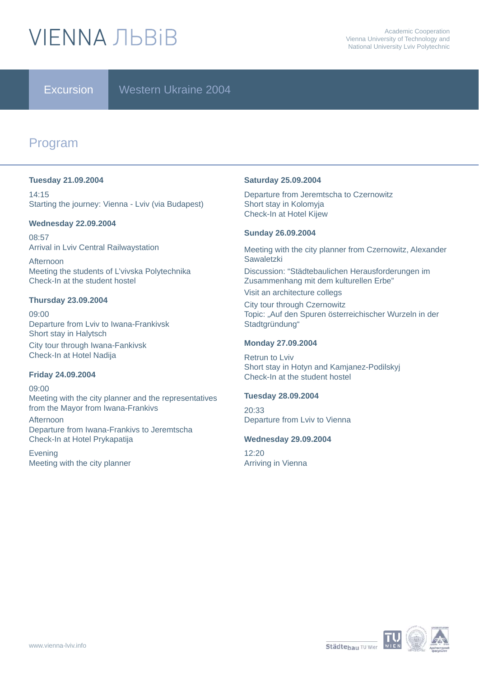# **VIFNNA JIBRIB**

Excursion Western Ukraine 2004

# Program

#### **Tuesday 21.09.2004**

14:15 Starting the journey: Vienna - Lviv (via Budapest)

#### **Wednesday 22.09.2004**

08:57 Arrival in Lviv Central Railwaystation

Afternoon Meeting the students of L'vivska Polytechnika Check-In at the student hostel

#### **Thursday 23.09.2004**

09:00 Departure from Lviv to Iwana-Frankivsk Short stay in Halytsch City tour through Iwana-Fankivsk Check-In at Hotel Nadija

#### **Friday 24.09.2004**

09:00 Meeting with the city planner and the representatives from the Mayor from Iwana-Frankivs **Afternoon** Departure from Iwana-Frankivs to Jeremtscha Check-In at Hotel Prykapatija

Evening Meeting with the city planner

#### **Saturday 25.09.2004**

Departure from Jeremtscha to Czernowitz Short stay in Kolomyja Check-In at Hotel Kijew

#### **Sunday 26.09.2004**

Meeting with the city planner from Czernowitz, Alexander **Sawaletzki** Discussion: "Städtebaulichen Herausforderungen im Zusammenhang mit dem kulturellen Erbe"

Visit an architecture collegs

City tour through Czernowitz Topic: "Auf den Spuren österreichischer Wurzeln in der Stadtgründung"

#### **Monday 27.09.2004**

Retrun to Lviv Short stay in Hotyn and Kamjanez-Podilskyj Check-In at the student hostel

### **Tuesday 28.09.2004**

20:33 Departure from Lviv to Vienna

#### **Wednesday 29.09.2004**

12:20 Arriving in Vienna